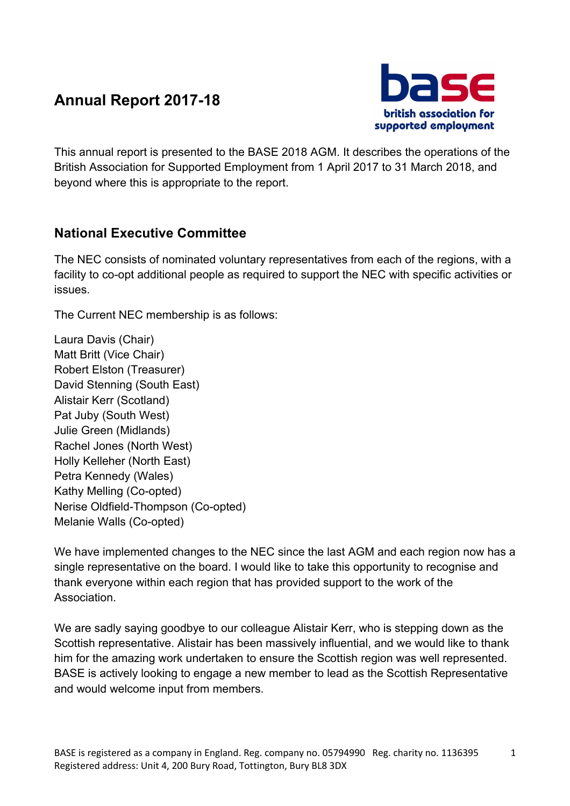# **Annual Report 2017-18**



This annual report is presented to the BASE 2018 AGM. It describes the operations of the British Association for Supported Employment from 1 April 2017 to 31 March 2018, and beyond where this is appropriate to the report.

## **National Executive Committee**

The NEC consists of nominated voluntary representatives from each of the regions, with a facility to co-opt additional people as required to support the NEC with specific activities or issues.

The Current NEC membership is as follows:

Laura Davis (Chair) Matt Britt (Vice Chair) Robert Elston (Treasurer) David Stenning (South East) Alistair Kerr (Scotland) Pat Juby (South West) Julie Green (Midlands) Rachel Jones (North West) Holly Kelleher (North East) Petra Kennedy (Wales) Kathy Melling (Co-opted) Nerise Oldfield-Thompson (Co-opted) Melanie Walls (Co-opted)

We have implemented changes to the NEC since the last AGM and each region now has a single representative on the board. I would like to take this opportunity to recognise and thank everyone within each region that has provided support to the work of the **Association** 

We are sadly saying goodbye to our colleague Alistair Kerr, who is stepping down as the Scottish representative. Alistair has been massively influential, and we would like to thank him for the amazing work undertaken to ensure the Scottish region was well represented. BASE is actively looking to engage a new member to lead as the Scottish Representative and would welcome input from members.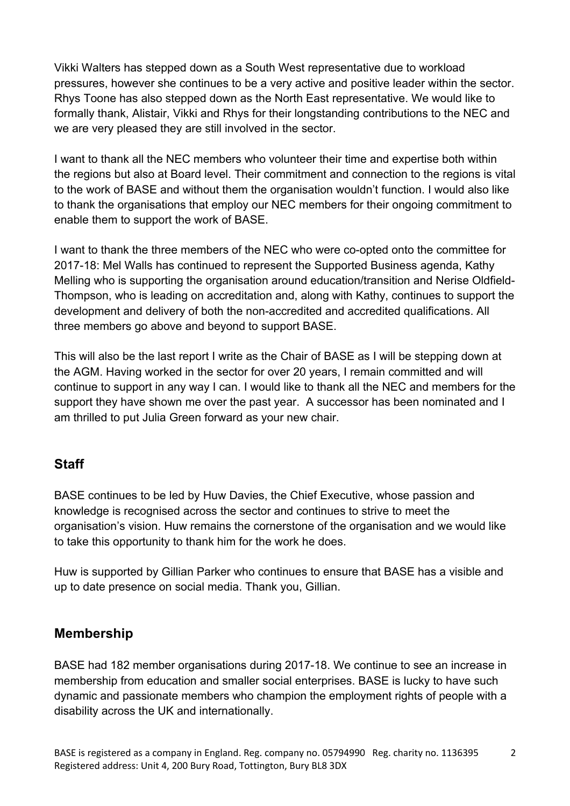Vikki Walters has stepped down as a South West representative due to workload pressures, however she continues to be a very active and positive leader within the sector. Rhys Toone has also stepped down as the North East representative. We would like to formally thank, Alistair, Vikki and Rhys for their longstanding contributions to the NEC and we are very pleased they are still involved in the sector.

I want to thank all the NEC members who volunteer their time and expertise both within the regions but also at Board level. Their commitment and connection to the regions is vital to the work of BASE and without them the organisation wouldn't function. I would also like to thank the organisations that employ our NEC members for their ongoing commitment to enable them to support the work of BASE.

I want to thank the three members of the NEC who were co-opted onto the committee for 2017-18: Mel Walls has continued to represent the Supported Business agenda, Kathy Melling who is supporting the organisation around education/transition and Nerise Oldfield-Thompson, who is leading on accreditation and, along with Kathy, continues to support the development and delivery of both the non-accredited and accredited qualifications. All three members go above and beyond to support BASE.

This will also be the last report I write as the Chair of BASE as I will be stepping down at the AGM. Having worked in the sector for over 20 years, I remain committed and will continue to support in any way I can. I would like to thank all the NEC and members for the support they have shown me over the past year. A successor has been nominated and I am thrilled to put Julia Green forward as your new chair.

#### **Staff**

BASE continues to be led by Huw Davies, the Chief Executive, whose passion and knowledge is recognised across the sector and continues to strive to meet the organisation's vision. Huw remains the cornerstone of the organisation and we would like to take this opportunity to thank him for the work he does.

Huw is supported by Gillian Parker who continues to ensure that BASE has a visible and up to date presence on social media. Thank you, Gillian.

### **Membership**

BASE had 182 member organisations during 2017-18. We continue to see an increase in membership from education and smaller social enterprises. BASE is lucky to have such dynamic and passionate members who champion the employment rights of people with a disability across the UK and internationally.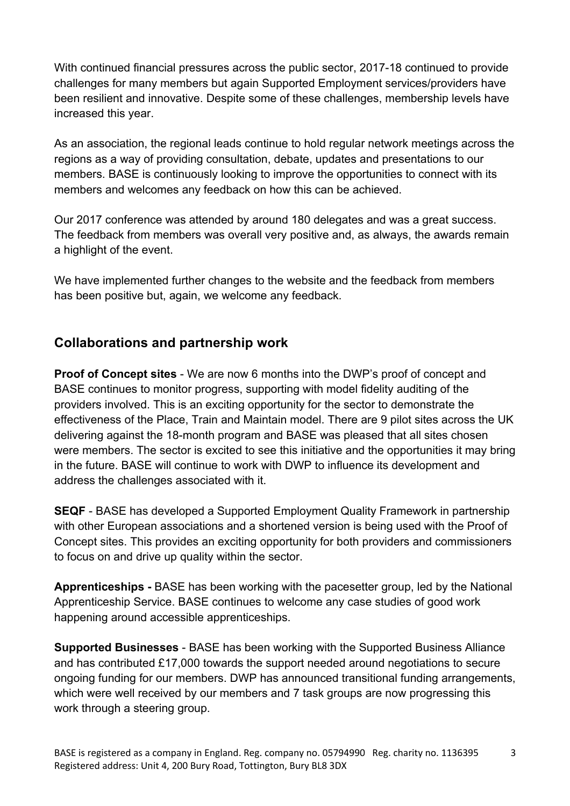With continued financial pressures across the public sector, 2017-18 continued to provide challenges for many members but again Supported Employment services/providers have been resilient and innovative. Despite some of these challenges, membership levels have increased this year.

As an association, the regional leads continue to hold regular network meetings across the regions as a way of providing consultation, debate, updates and presentations to our members. BASE is continuously looking to improve the opportunities to connect with its members and welcomes any feedback on how this can be achieved.

Our 2017 conference was attended by around 180 delegates and was a great success. The feedback from members was overall very positive and, as always, the awards remain a highlight of the event.

We have implemented further changes to the website and the feedback from members has been positive but, again, we welcome any feedback.

### **Collaborations and partnership work**

**Proof of Concept sites** - We are now 6 months into the DWP's proof of concept and BASE continues to monitor progress, supporting with model fidelity auditing of the providers involved. This is an exciting opportunity for the sector to demonstrate the effectiveness of the Place, Train and Maintain model. There are 9 pilot sites across the UK delivering against the 18-month program and BASE was pleased that all sites chosen were members. The sector is excited to see this initiative and the opportunities it may bring in the future. BASE will continue to work with DWP to influence its development and address the challenges associated with it.

**SEQF** - BASE has developed a Supported Employment Quality Framework in partnership with other European associations and a shortened version is being used with the Proof of Concept sites. This provides an exciting opportunity for both providers and commissioners to focus on and drive up quality within the sector.

**Apprenticeships -** BASE has been working with the pacesetter group, led by the National Apprenticeship Service. BASE continues to welcome any case studies of good work happening around accessible apprenticeships.

**Supported Businesses** - BASE has been working with the Supported Business Alliance and has contributed £17,000 towards the support needed around negotiations to secure ongoing funding for our members. DWP has announced transitional funding arrangements, which were well received by our members and 7 task groups are now progressing this work through a steering group.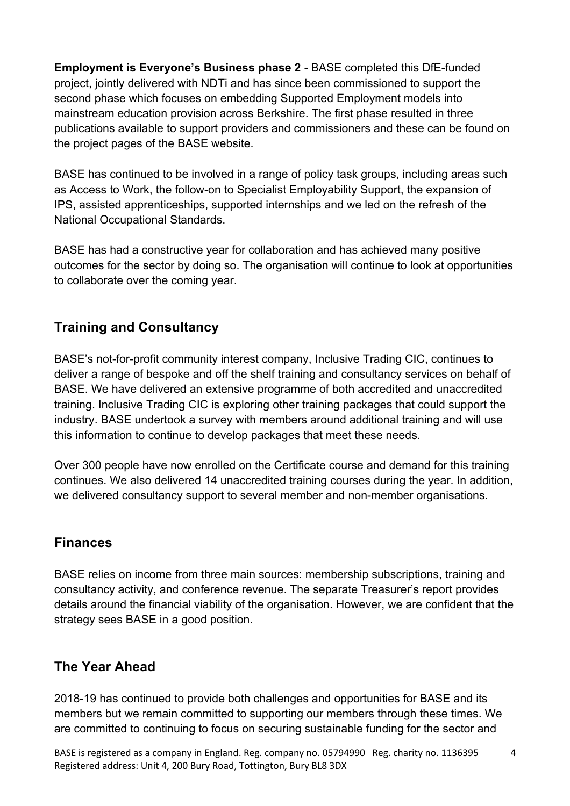**Employment is Everyone's Business phase 2 -** BASE completed this DfE-funded project, jointly delivered with NDTi and has since been commissioned to support the second phase which focuses on embedding Supported Employment models into mainstream education provision across Berkshire. The first phase resulted in three publications available to support providers and commissioners and these can be found on the project pages of the BASE website.

BASE has continued to be involved in a range of policy task groups, including areas such as Access to Work, the follow-on to Specialist Employability Support, the expansion of IPS, assisted apprenticeships, supported internships and we led on the refresh of the National Occupational Standards.

BASE has had a constructive year for collaboration and has achieved many positive outcomes for the sector by doing so. The organisation will continue to look at opportunities to collaborate over the coming year.

# **Training and Consultancy**

BASE's not-for-profit community interest company, Inclusive Trading CIC, continues to deliver a range of bespoke and off the shelf training and consultancy services on behalf of BASE. We have delivered an extensive programme of both accredited and unaccredited training. Inclusive Trading CIC is exploring other training packages that could support the industry. BASE undertook a survey with members around additional training and will use this information to continue to develop packages that meet these needs.

Over 300 people have now enrolled on the Certificate course and demand for this training continues. We also delivered 14 unaccredited training courses during the year. In addition, we delivered consultancy support to several member and non-member organisations.

#### **Finances**

BASE relies on income from three main sources: membership subscriptions, training and consultancy activity, and conference revenue. The separate Treasurer's report provides details around the financial viability of the organisation. However, we are confident that the strategy sees BASE in a good position.

### **The Year Ahead**

2018-19 has continued to provide both challenges and opportunities for BASE and its members but we remain committed to supporting our members through these times. We are committed to continuing to focus on securing sustainable funding for the sector and